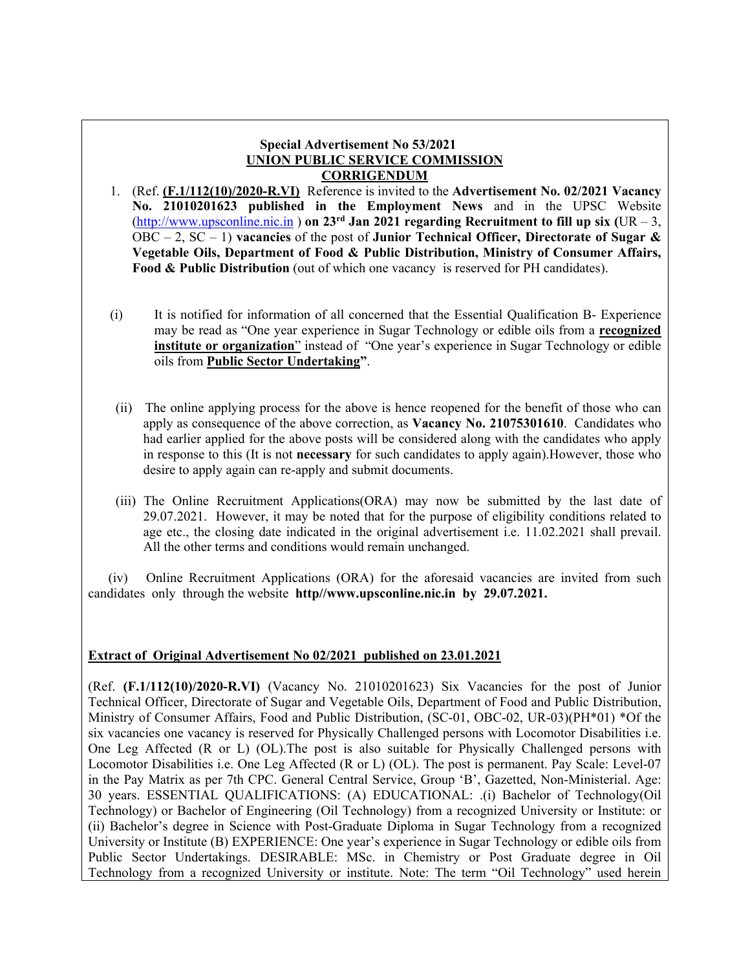#### **Special Advertisement No 53/2021 UNION PUBLIC SERVICE COMMISSION CORRIGENDUM**

- 1. (Ref. **(F.1/112(10)/2020-R.VI)** Reference is invited to the **Advertisement No. 02/2021 Vacancy No. 21010201623 published in the Employment News** and in the UPSC Website (http://www.upsconline.nic.in) **on 23<sup>rd</sup> Jan 2021 regarding Recruitment to fill up six** (UR – 3, OBC – 2, SC – 1) **vacancies** of the post of **Junior Technical Officer, Directorate of Sugar & Vegetable Oils, Department of Food & Public Distribution, Ministry of Consumer Affairs, Food & Public Distribution** (out of which one vacancy is reserved for PH candidates).
- (i) It is notified for information of all concerned that the Essential Qualification B- Experience may be read as "One year experience in Sugar Technology or edible oils from a **recognized institute or organization**" instead of "One year's experience in Sugar Technology or edible oils from **Public Sector Undertaking"**.
- (ii) The online applying process for the above is hence reopened for the benefit of those who can apply as consequence of the above correction, as **Vacancy No. 21075301610**. Candidates who had earlier applied for the above posts will be considered along with the candidates who apply in response to this (It is not **necessary** for such candidates to apply again).However, those who desire to apply again can re-apply and submit documents.
- (iii) The Online Recruitment Applications(ORA) may now be submitted by the last date of 29.07.2021. However, it may be noted that for the purpose of eligibility conditions related to age etc., the closing date indicated in the original advertisement i.e. 11.02.2021 shall prevail. All the other terms and conditions would remain unchanged.

 (iv) Online Recruitment Applications (ORA) for the aforesaid vacancies are invited from such candidates only through the website **http//www.upsconline.nic.in by 29.07.2021.** 

#### **Extract of Original Advertisement No 02/2021 published on 23.01.2021**

(Ref. **(F.1/112(10)/2020-R.VI)** (Vacancy No. 21010201623) Six Vacancies for the post of Junior Technical Officer, Directorate of Sugar and Vegetable Oils, Department of Food and Public Distribution, Ministry of Consumer Affairs, Food and Public Distribution, (SC-01, OBC-02, UR-03)(PH\*01) \*Of the six vacancies one vacancy is reserved for Physically Challenged persons with Locomotor Disabilities i.e. One Leg Affected (R or L) (OL).The post is also suitable for Physically Challenged persons with Locomotor Disabilities i.e. One Leg Affected (R or L) (OL). The post is permanent. Pay Scale: Level-07 in the Pay Matrix as per 7th CPC. General Central Service, Group 'B', Gazetted, Non-Ministerial. Age: 30 years. ESSENTIAL QUALIFICATIONS: (A) EDUCATIONAL: .(i) Bachelor of Technology(Oil Technology) or Bachelor of Engineering (Oil Technology) from a recognized University or Institute: or (ii) Bachelor's degree in Science with Post-Graduate Diploma in Sugar Technology from a recognized University or Institute (B) EXPERIENCE: One year's experience in Sugar Technology or edible oils from Public Sector Undertakings. DESIRABLE: MSc. in Chemistry or Post Graduate degree in Oil Technology from a recognized University or institute. Note: The term "Oil Technology" used herein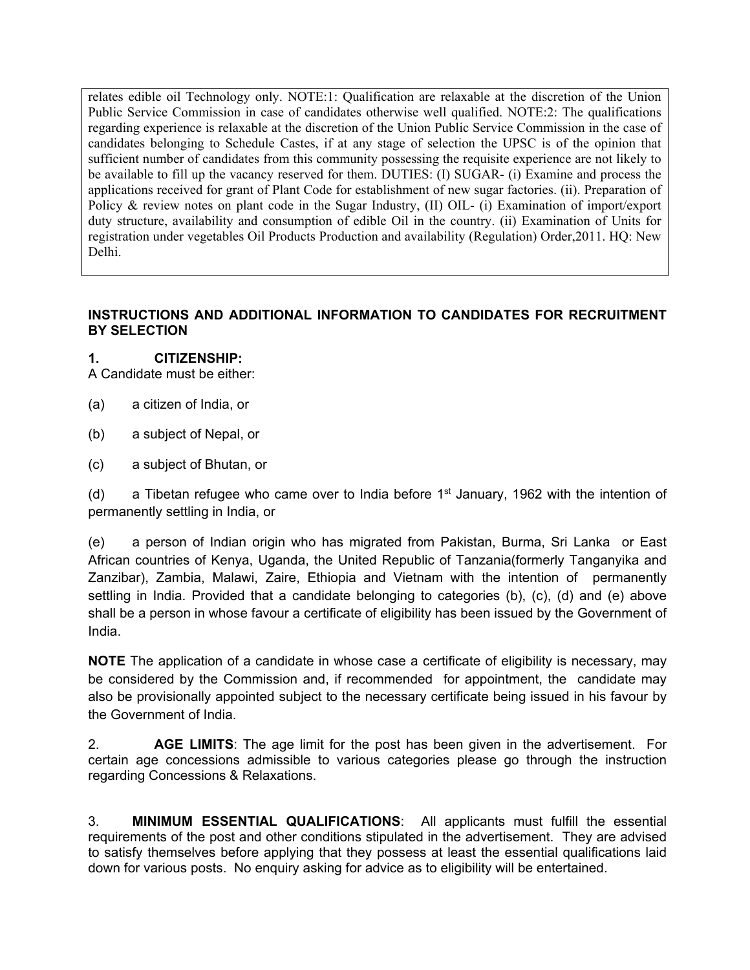relates edible oil Technology only. NOTE:1: Qualification are relaxable at the discretion of the Union Public Service Commission in case of candidates otherwise well qualified. NOTE:2: The qualifications regarding experience is relaxable at the discretion of the Union Public Service Commission in the case of candidates belonging to Schedule Castes, if at any stage of selection the UPSC is of the opinion that sufficient number of candidates from this community possessing the requisite experience are not likely to be available to fill up the vacancy reserved for them. DUTIES: (I) SUGAR- (i) Examine and process the applications received for grant of Plant Code for establishment of new sugar factories. (ii). Preparation of Policy & review notes on plant code in the Sugar Industry, (II) OIL- (i) Examination of import/export duty structure, availability and consumption of edible Oil in the country. (ii) Examination of Units for registration under vegetables Oil Products Production and availability (Regulation) Order,2011. HQ: New Delhi.

### **INSTRUCTIONS AND ADDITIONAL INFORMATION TO CANDIDATES FOR RECRUITMENT BY SELECTION**

### **1. CITIZENSHIP:**

A Candidate must be either:

- (a) a citizen of India, or
- (b) a subject of Nepal, or
- (c) a subject of Bhutan, or

(d) a Tibetan refugee who came over to India before  $1<sup>st</sup>$  January, 1962 with the intention of permanently settling in India, or

(e) a person of Indian origin who has migrated from Pakistan, Burma, Sri Lanka or East African countries of Kenya, Uganda, the United Republic of Tanzania(formerly Tanganyika and Zanzibar), Zambia, Malawi, Zaire, Ethiopia and Vietnam with the intention of permanently settling in India. Provided that a candidate belonging to categories (b), (c), (d) and (e) above shall be a person in whose favour a certificate of eligibility has been issued by the Government of India.

**NOTE** The application of a candidate in whose case a certificate of eligibility is necessary, may be considered by the Commission and, if recommended for appointment, the candidate may also be provisionally appointed subject to the necessary certificate being issued in his favour by the Government of India.

2. **AGE LIMITS**: The age limit for the post has been given in the advertisement. For certain age concessions admissible to various categories please go through the instruction regarding Concessions & Relaxations.

3. **MINIMUM ESSENTIAL QUALIFICATIONS**: All applicants must fulfill the essential requirements of the post and other conditions stipulated in the advertisement. They are advised to satisfy themselves before applying that they possess at least the essential qualifications laid down for various posts. No enquiry asking for advice as to eligibility will be entertained.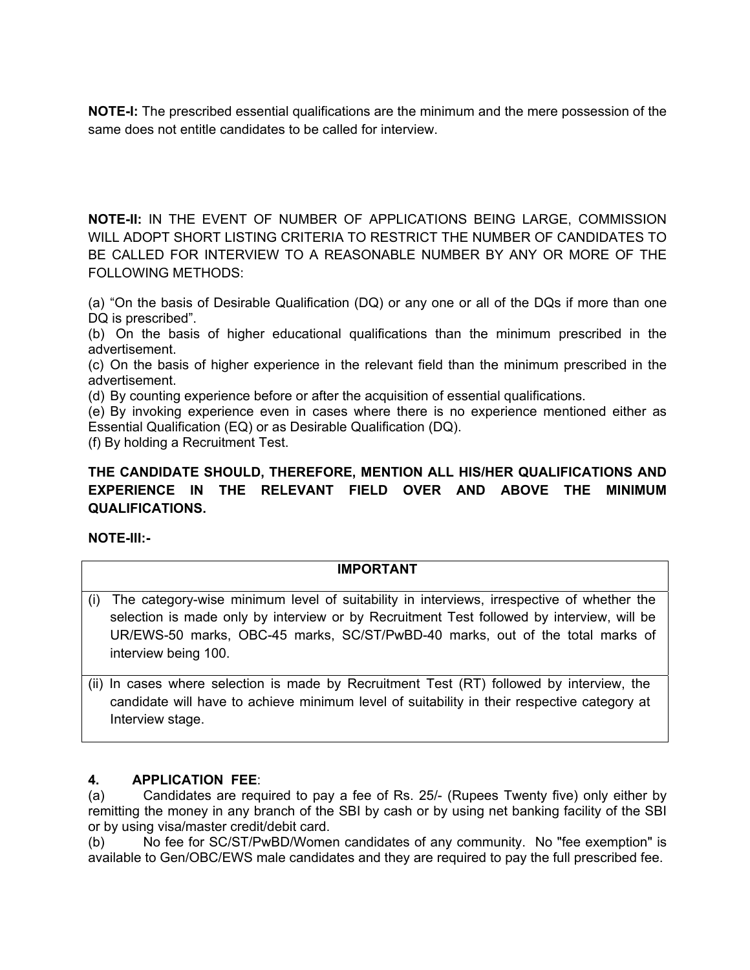**NOTE-I:** The prescribed essential qualifications are the minimum and the mere possession of the same does not entitle candidates to be called for interview.

**NOTE-II:** IN THE EVENT OF NUMBER OF APPLICATIONS BEING LARGE, COMMISSION WILL ADOPT SHORT LISTING CRITERIA TO RESTRICT THE NUMBER OF CANDIDATES TO BE CALLED FOR INTERVIEW TO A REASONABLE NUMBER BY ANY OR MORE OF THE FOLLOWING METHODS:

(a) "On the basis of Desirable Qualification (DQ) or any one or all of the DQs if more than one DQ is prescribed".

(b) On the basis of higher educational qualifications than the minimum prescribed in the advertisement.

(c) On the basis of higher experience in the relevant field than the minimum prescribed in the advertisement.

(d) By counting experience before or after the acquisition of essential qualifications.

(e) By invoking experience even in cases where there is no experience mentioned either as Essential Qualification (EQ) or as Desirable Qualification (DQ).

(f) By holding a Recruitment Test.

### **THE CANDIDATE SHOULD, THEREFORE, MENTION ALL HIS/HER QUALIFICATIONS AND EXPERIENCE IN THE RELEVANT FIELD OVER AND ABOVE THE MINIMUM QUALIFICATIONS.**

### **NOTE-III:-**

#### **IMPORTANT**

- (i) The category-wise minimum level of suitability in interviews, irrespective of whether the selection is made only by interview or by Recruitment Test followed by interview, will be UR/EWS-50 marks, OBC-45 marks, SC/ST/PwBD-40 marks, out of the total marks of interview being 100.
- (ii) In cases where selection is made by Recruitment Test (RT) followed by interview, the candidate will have to achieve minimum level of suitability in their respective category at Interview stage.

### **4. APPLICATION FEE**:

(a) Candidates are required to pay a fee of Rs. 25/- (Rupees Twenty five) only either by remitting the money in any branch of the SBI by cash or by using net banking facility of the SBI or by using visa/master credit/debit card.

(b) No fee for SC/ST/PwBD/Women candidates of any community. No "fee exemption" is available to Gen/OBC/EWS male candidates and they are required to pay the full prescribed fee.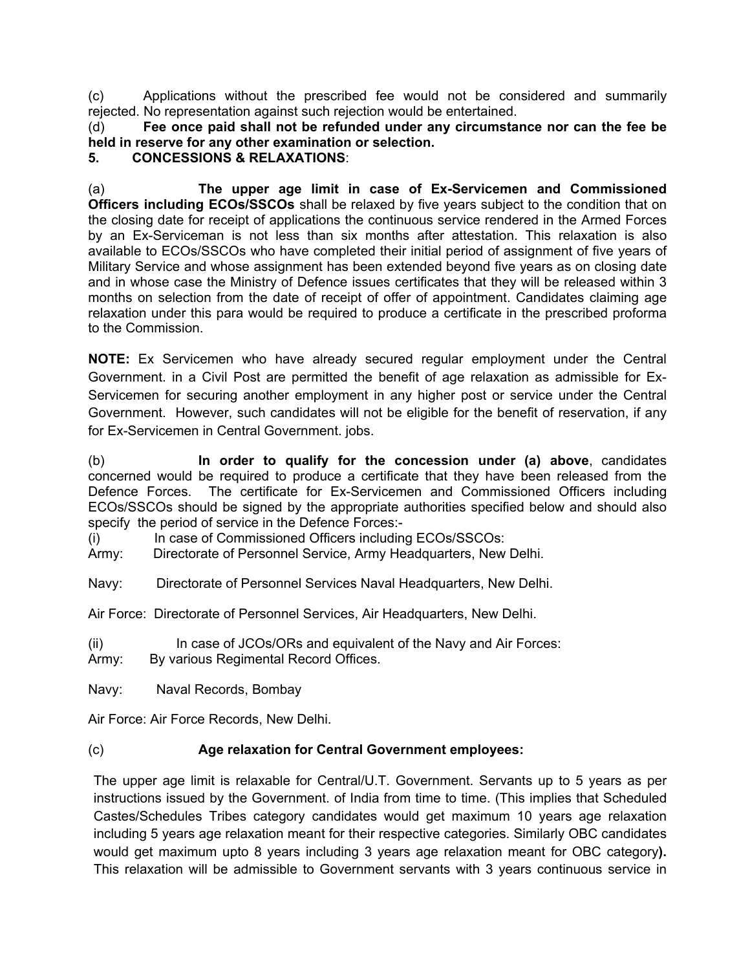(c) Applications without the prescribed fee would not be considered and summarily rejected. No representation against such rejection would be entertained.

(d) **Fee once paid shall not be refunded under any circumstance nor can the fee be held in reserve for any other examination or selection.**

# **5. CONCESSIONS & RELAXATIONS**:

(a) **The upper age limit in case of Ex-Servicemen and Commissioned Officers including ECOs/SSCOs** shall be relaxed by five years subject to the condition that on the closing date for receipt of applications the continuous service rendered in the Armed Forces by an Ex-Serviceman is not less than six months after attestation. This relaxation is also available to ECOs/SSCOs who have completed their initial period of assignment of five years of Military Service and whose assignment has been extended beyond five years as on closing date and in whose case the Ministry of Defence issues certificates that they will be released within 3 months on selection from the date of receipt of offer of appointment. Candidates claiming age relaxation under this para would be required to produce a certificate in the prescribed proforma to the Commission.

**NOTE:** Ex Servicemen who have already secured regular employment under the Central Government. in a Civil Post are permitted the benefit of age relaxation as admissible for Ex-Servicemen for securing another employment in any higher post or service under the Central Government. However, such candidates will not be eligible for the benefit of reservation, if any for Ex-Servicemen in Central Government. jobs.

(b) **In order to qualify for the concession under (a) above**, candidates concerned would be required to produce a certificate that they have been released from the Defence Forces. The certificate for Ex-Servicemen and Commissioned Officers including ECOs/SSCOs should be signed by the appropriate authorities specified below and should also specify the period of service in the Defence Forces:-

(i) In case of Commissioned Officers including ECOs/SSCOs:

Army: Directorate of Personnel Service, Army Headquarters, New Delhi.

Navy: Directorate of Personnel Services Naval Headquarters, New Delhi.

Air Force: Directorate of Personnel Services, Air Headquarters, New Delhi.

(ii) In case of JCOs/ORs and equivalent of the Navy and Air Forces:

Army: By various Regimental Record Offices.

Navy: Naval Records, Bombay

Air Force: Air Force Records, New Delhi.

### (c) **Age relaxation for Central Government employees:**

The upper age limit is relaxable for Central/U.T. Government. Servants up to 5 years as per instructions issued by the Government. of India from time to time. (This implies that Scheduled Castes/Schedules Tribes category candidates would get maximum 10 years age relaxation including 5 years age relaxation meant for their respective categories. Similarly OBC candidates would get maximum upto 8 years including 3 years age relaxation meant for OBC category**).** This relaxation will be admissible to Government servants with 3 years continuous service in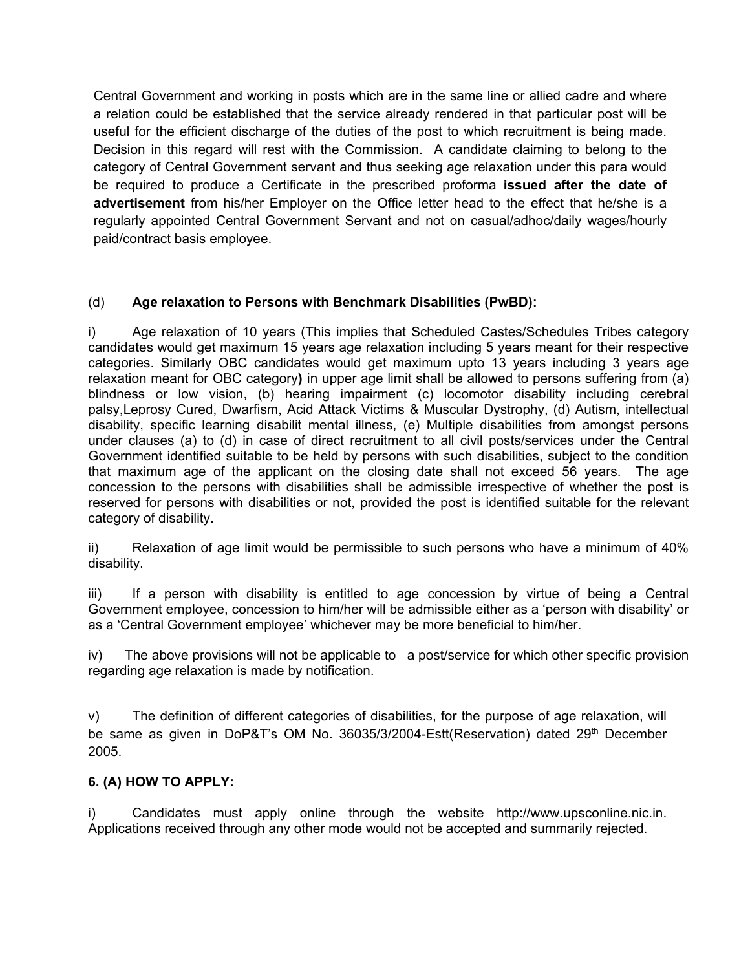Central Government and working in posts which are in the same line or allied cadre and where a relation could be established that the service already rendered in that particular post will be useful for the efficient discharge of the duties of the post to which recruitment is being made. Decision in this regard will rest with the Commission. A candidate claiming to belong to the category of Central Government servant and thus seeking age relaxation under this para would be required to produce a Certificate in the prescribed proforma **issued after the date of advertisement** from his/her Employer on the Office letter head to the effect that he/she is a regularly appointed Central Government Servant and not on casual/adhoc/daily wages/hourly paid/contract basis employee.

## (d) **Age relaxation to Persons with Benchmark Disabilities (PwBD):**

i) Age relaxation of 10 years (This implies that Scheduled Castes/Schedules Tribes category candidates would get maximum 15 years age relaxation including 5 years meant for their respective categories. Similarly OBC candidates would get maximum upto 13 years including 3 years age relaxation meant for OBC category**)** in upper age limit shall be allowed to persons suffering from (a) blindness or low vision, (b) hearing impairment (c) locomotor disability including cerebral palsy,Leprosy Cured, Dwarfism, Acid Attack Victims & Muscular Dystrophy, (d) Autism, intellectual disability, specific learning disabilit mental illness, (e) Multiple disabilities from amongst persons under clauses (a) to (d) in case of direct recruitment to all civil posts/services under the Central Government identified suitable to be held by persons with such disabilities, subject to the condition that maximum age of the applicant on the closing date shall not exceed 56 years. The age concession to the persons with disabilities shall be admissible irrespective of whether the post is reserved for persons with disabilities or not, provided the post is identified suitable for the relevant category of disability.

ii) Relaxation of age limit would be permissible to such persons who have a minimum of 40% disability.

iii) If a person with disability is entitled to age concession by virtue of being a Central Government employee, concession to him/her will be admissible either as a 'person with disability' or as a 'Central Government employee' whichever may be more beneficial to him/her.

iv) The above provisions will not be applicable to a post/service for which other specific provision regarding age relaxation is made by notification.

v) The definition of different categories of disabilities, for the purpose of age relaxation, will be same as given in DoP&T's OM No. 36035/3/2004-Estt(Reservation) dated 29<sup>th</sup> December 2005.

## **6. (A) HOW TO APPLY:**

i) Candidates must apply online through the website http://www.upsconline.nic.in. Applications received through any other mode would not be accepted and summarily rejected.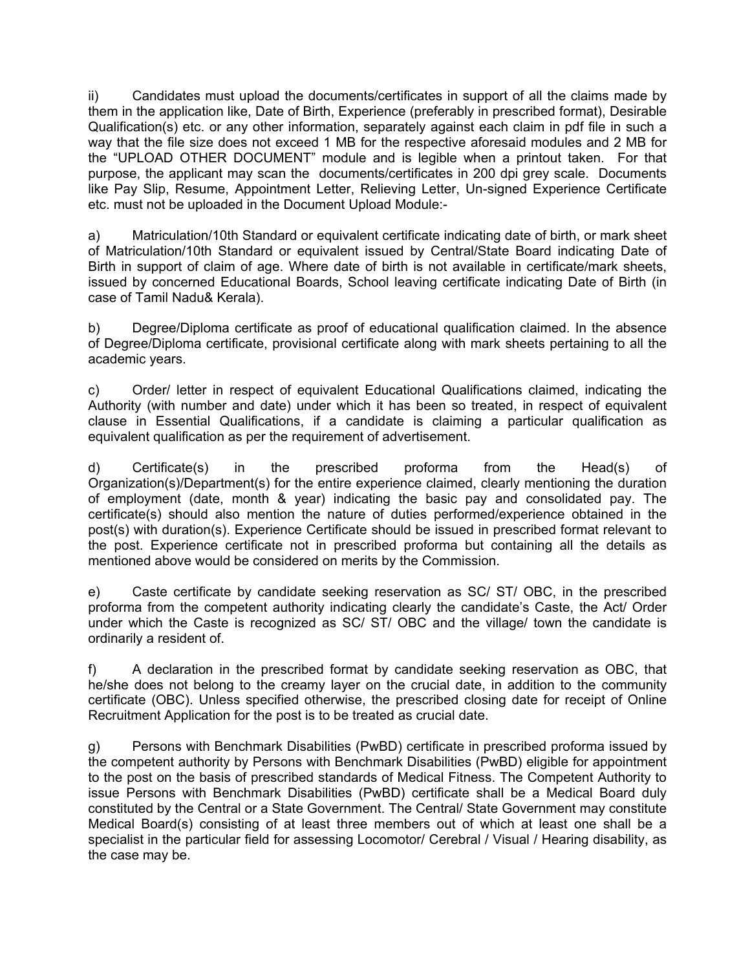ii) Candidates must upload the documents/certificates in support of all the claims made by them in the application like, Date of Birth, Experience (preferably in prescribed format), Desirable Qualification(s) etc. or any other information, separately against each claim in pdf file in such a way that the file size does not exceed 1 MB for the respective aforesaid modules and 2 MB for the "UPLOAD OTHER DOCUMENT" module and is legible when a printout taken. For that purpose, the applicant may scan the documents/certificates in 200 dpi grey scale. Documents like Pay Slip, Resume, Appointment Letter, Relieving Letter, Un-signed Experience Certificate etc. must not be uploaded in the Document Upload Module:-

a) Matriculation/10th Standard or equivalent certificate indicating date of birth, or mark sheet of Matriculation/10th Standard or equivalent issued by Central/State Board indicating Date of Birth in support of claim of age. Where date of birth is not available in certificate/mark sheets, issued by concerned Educational Boards, School leaving certificate indicating Date of Birth (in case of Tamil Nadu& Kerala).

b) Degree/Diploma certificate as proof of educational qualification claimed. In the absence of Degree/Diploma certificate, provisional certificate along with mark sheets pertaining to all the academic years.

c) Order/ letter in respect of equivalent Educational Qualifications claimed, indicating the Authority (with number and date) under which it has been so treated, in respect of equivalent clause in Essential Qualifications, if a candidate is claiming a particular qualification as equivalent qualification as per the requirement of advertisement.

d) Certificate(s) in the prescribed proforma from the Head(s) of Organization(s)/Department(s) for the entire experience claimed, clearly mentioning the duration of employment (date, month & year) indicating the basic pay and consolidated pay. The certificate(s) should also mention the nature of duties performed/experience obtained in the post(s) with duration(s). Experience Certificate should be issued in prescribed format relevant to the post. Experience certificate not in prescribed proforma but containing all the details as mentioned above would be considered on merits by the Commission.

e) Caste certificate by candidate seeking reservation as SC/ ST/ OBC, in the prescribed proforma from the competent authority indicating clearly the candidate's Caste, the Act/ Order under which the Caste is recognized as SC/ ST/ OBC and the village/ town the candidate is ordinarily a resident of.

f) A declaration in the prescribed format by candidate seeking reservation as OBC, that he/she does not belong to the creamy layer on the crucial date, in addition to the community certificate (OBC). Unless specified otherwise, the prescribed closing date for receipt of Online Recruitment Application for the post is to be treated as crucial date.

g) Persons with Benchmark Disabilities (PwBD) certificate in prescribed proforma issued by the competent authority by Persons with Benchmark Disabilities (PwBD) eligible for appointment to the post on the basis of prescribed standards of Medical Fitness. The Competent Authority to issue Persons with Benchmark Disabilities (PwBD) certificate shall be a Medical Board duly constituted by the Central or a State Government. The Central/ State Government may constitute Medical Board(s) consisting of at least three members out of which at least one shall be a specialist in the particular field for assessing Locomotor/ Cerebral / Visual / Hearing disability, as the case may be.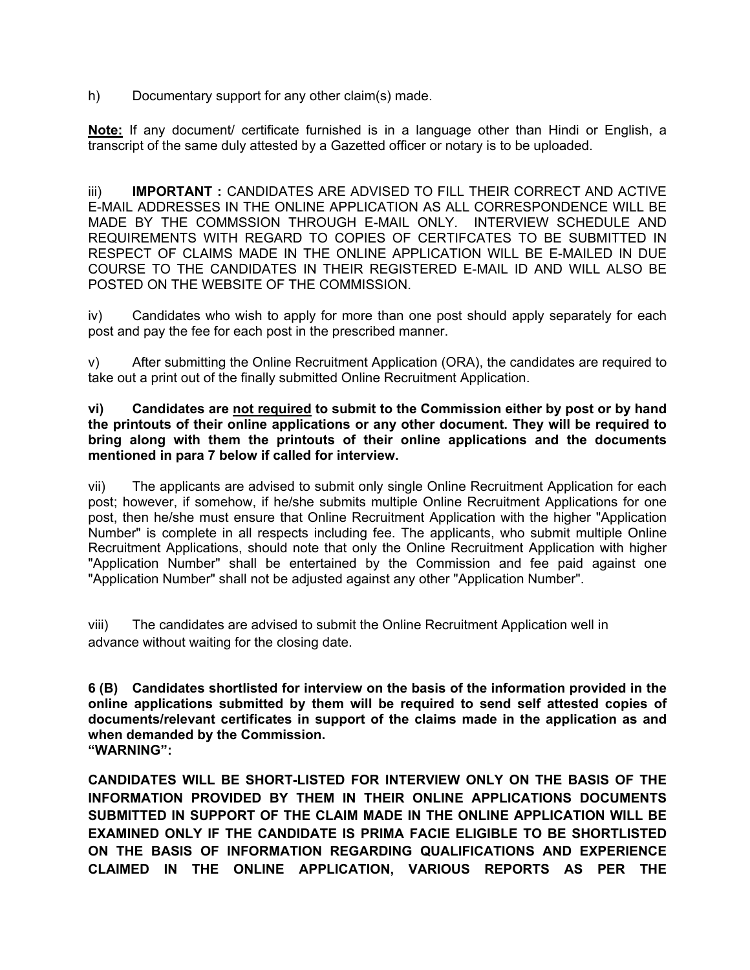h) Documentary support for any other claim(s) made.

**Note:** If any document/ certificate furnished is in a language other than Hindi or English, a transcript of the same duly attested by a Gazetted officer or notary is to be uploaded.

iii) **IMPORTANT :** CANDIDATES ARE ADVISED TO FILL THEIR CORRECT AND ACTIVE E-MAIL ADDRESSES IN THE ONLINE APPLICATION AS ALL CORRESPONDENCE WILL BE MADE BY THE COMMSSION THROUGH E-MAIL ONLY. INTERVIEW SCHEDULE AND REQUIREMENTS WITH REGARD TO COPIES OF CERTIFCATES TO BE SUBMITTED IN RESPECT OF CLAIMS MADE IN THE ONLINE APPLICATION WILL BE E-MAILED IN DUE COURSE TO THE CANDIDATES IN THEIR REGISTERED E-MAIL ID AND WILL ALSO BE POSTED ON THE WEBSITE OF THE COMMISSION.

iv) Candidates who wish to apply for more than one post should apply separately for each post and pay the fee for each post in the prescribed manner.

v) After submitting the Online Recruitment Application (ORA), the candidates are required to take out a print out of the finally submitted Online Recruitment Application.

**vi) Candidates are not required to submit to the Commission either by post or by hand the printouts of their online applications or any other document. They will be required to bring along with them the printouts of their online applications and the documents mentioned in para 7 below if called for interview.** 

vii) The applicants are advised to submit only single Online Recruitment Application for each post; however, if somehow, if he/she submits multiple Online Recruitment Applications for one post, then he/she must ensure that Online Recruitment Application with the higher "Application Number" is complete in all respects including fee. The applicants, who submit multiple Online Recruitment Applications, should note that only the Online Recruitment Application with higher "Application Number" shall be entertained by the Commission and fee paid against one "Application Number" shall not be adjusted against any other "Application Number".

viii) The candidates are advised to submit the Online Recruitment Application well in advance without waiting for the closing date.

**6 (B) Candidates shortlisted for interview on the basis of the information provided in the online applications submitted by them will be required to send self attested copies of documents/relevant certificates in support of the claims made in the application as and when demanded by the Commission. "WARNING":** 

**CANDIDATES WILL BE SHORT-LISTED FOR INTERVIEW ONLY ON THE BASIS OF THE INFORMATION PROVIDED BY THEM IN THEIR ONLINE APPLICATIONS DOCUMENTS SUBMITTED IN SUPPORT OF THE CLAIM MADE IN THE ONLINE APPLICATION WILL BE EXAMINED ONLY IF THE CANDIDATE IS PRIMA FACIE ELIGIBLE TO BE SHORTLISTED ON THE BASIS OF INFORMATION REGARDING QUALIFICATIONS AND EXPERIENCE CLAIMED IN THE ONLINE APPLICATION, VARIOUS REPORTS AS PER THE**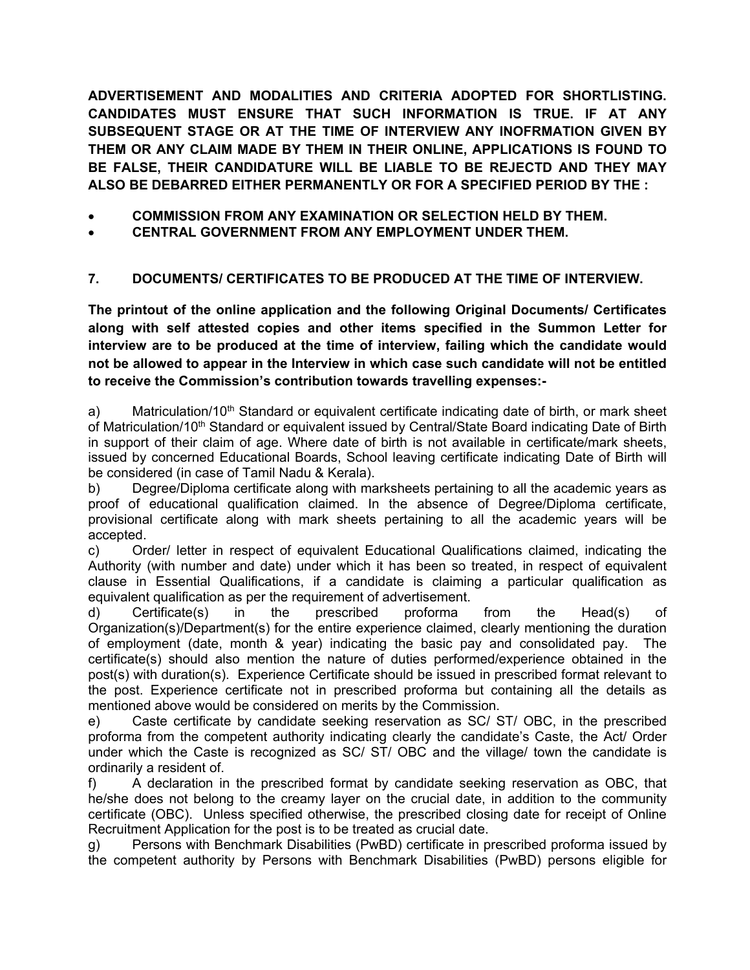**ADVERTISEMENT AND MODALITIES AND CRITERIA ADOPTED FOR SHORTLISTING. CANDIDATES MUST ENSURE THAT SUCH INFORMATION IS TRUE. IF AT ANY SUBSEQUENT STAGE OR AT THE TIME OF INTERVIEW ANY INOFRMATION GIVEN BY THEM OR ANY CLAIM MADE BY THEM IN THEIR ONLINE, APPLICATIONS IS FOUND TO BE FALSE, THEIR CANDIDATURE WILL BE LIABLE TO BE REJECTD AND THEY MAY ALSO BE DEBARRED EITHER PERMANENTLY OR FOR A SPECIFIED PERIOD BY THE :** 

- **COMMISSION FROM ANY EXAMINATION OR SELECTION HELD BY THEM.**
- **CENTRAL GOVERNMENT FROM ANY EMPLOYMENT UNDER THEM.**

# **7. DOCUMENTS/ CERTIFICATES TO BE PRODUCED AT THE TIME OF INTERVIEW.**

**The printout of the online application and the following Original Documents/ Certificates along with self attested copies and other items specified in the Summon Letter for interview are to be produced at the time of interview, failing which the candidate would not be allowed to appear in the Interview in which case such candidate will not be entitled to receive the Commission's contribution towards travelling expenses:-** 

a) Matriculation/10<sup>th</sup> Standard or equivalent certificate indicating date of birth, or mark sheet of Matriculation/10<sup>th</sup> Standard or equivalent issued by Central/State Board indicating Date of Birth in support of their claim of age. Where date of birth is not available in certificate/mark sheets, issued by concerned Educational Boards, School leaving certificate indicating Date of Birth will be considered (in case of Tamil Nadu & Kerala).

b) Degree/Diploma certificate along with marksheets pertaining to all the academic years as proof of educational qualification claimed. In the absence of Degree/Diploma certificate, provisional certificate along with mark sheets pertaining to all the academic years will be accepted.

c) Order/ letter in respect of equivalent Educational Qualifications claimed, indicating the Authority (with number and date) under which it has been so treated, in respect of equivalent clause in Essential Qualifications, if a candidate is claiming a particular qualification as equivalent qualification as per the requirement of advertisement.

d) Certificate(s) in the prescribed proforma from the Head(s) of Organization(s)/Department(s) for the entire experience claimed, clearly mentioning the duration of employment (date, month & year) indicating the basic pay and consolidated pay. The certificate(s) should also mention the nature of duties performed/experience obtained in the post(s) with duration(s). Experience Certificate should be issued in prescribed format relevant to the post. Experience certificate not in prescribed proforma but containing all the details as mentioned above would be considered on merits by the Commission.

e) Caste certificate by candidate seeking reservation as SC/ ST/ OBC, in the prescribed proforma from the competent authority indicating clearly the candidate's Caste, the Act/ Order under which the Caste is recognized as SC/ ST/ OBC and the village/ town the candidate is ordinarily a resident of.

f) A declaration in the prescribed format by candidate seeking reservation as OBC, that he/she does not belong to the creamy layer on the crucial date, in addition to the community certificate (OBC). Unless specified otherwise, the prescribed closing date for receipt of Online Recruitment Application for the post is to be treated as crucial date.

g) Persons with Benchmark Disabilities (PwBD) certificate in prescribed proforma issued by the competent authority by Persons with Benchmark Disabilities (PwBD) persons eligible for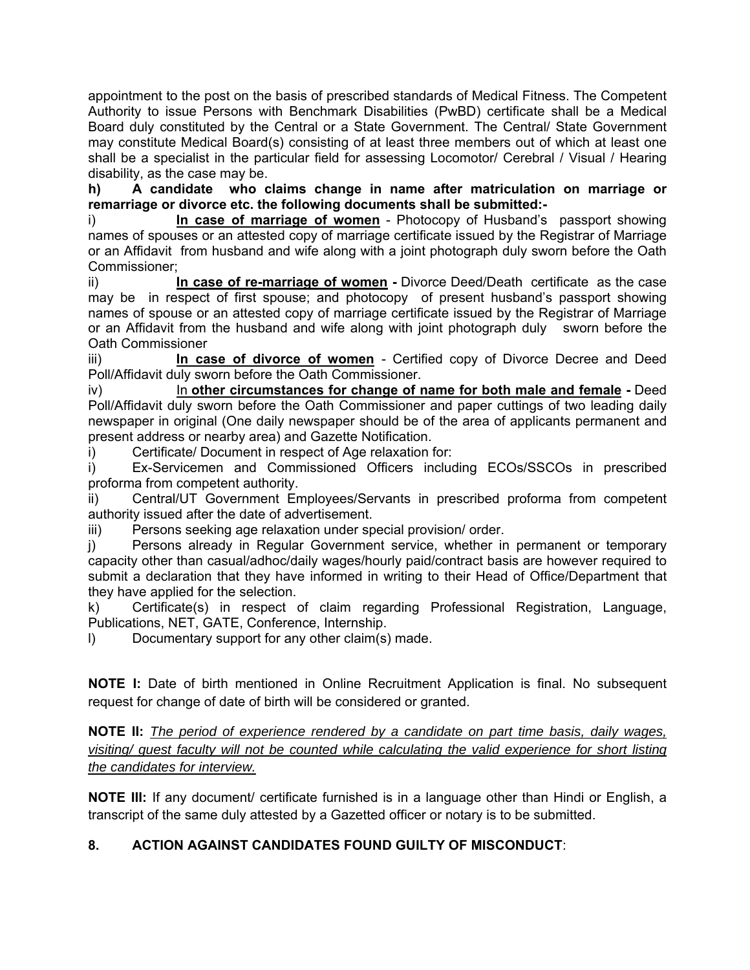appointment to the post on the basis of prescribed standards of Medical Fitness. The Competent Authority to issue Persons with Benchmark Disabilities (PwBD) certificate shall be a Medical Board duly constituted by the Central or a State Government. The Central/ State Government may constitute Medical Board(s) consisting of at least three members out of which at least one shall be a specialist in the particular field for assessing Locomotor/ Cerebral / Visual / Hearing disability, as the case may be.

**h) A candidate who claims change in name after matriculation on marriage or remarriage or divorce etc. the following documents shall be submitted:-** 

i) **In case of marriage of women** - Photocopy of Husband's passport showing names of spouses or an attested copy of marriage certificate issued by the Registrar of Marriage or an Affidavit from husband and wife along with a joint photograph duly sworn before the Oath Commissioner;

ii) **In case of re-marriage of women -** Divorce Deed/Death certificate as the case may be in respect of first spouse; and photocopy of present husband's passport showing names of spouse or an attested copy of marriage certificate issued by the Registrar of Marriage or an Affidavit from the husband and wife along with joint photograph duly sworn before the Oath Commissioner

iii) **In case of divorce of women** - Certified copy of Divorce Decree and Deed Poll/Affidavit duly sworn before the Oath Commissioner.

iv) In **other circumstances for change of name for both male and female -** Deed Poll/Affidavit duly sworn before the Oath Commissioner and paper cuttings of two leading daily newspaper in original (One daily newspaper should be of the area of applicants permanent and present address or nearby area) and Gazette Notification.

i) Certificate/ Document in respect of Age relaxation for:

i) Ex-Servicemen and Commissioned Officers including ECOs/SSCOs in prescribed proforma from competent authority.

ii) Central/UT Government Employees/Servants in prescribed proforma from competent authority issued after the date of advertisement.

iii) Persons seeking age relaxation under special provision/ order.

j) Persons already in Regular Government service, whether in permanent or temporary capacity other than casual/adhoc/daily wages/hourly paid/contract basis are however required to submit a declaration that they have informed in writing to their Head of Office/Department that they have applied for the selection.

k) Certificate(s) in respect of claim regarding Professional Registration, Language, Publications, NET, GATE, Conference, Internship.

l) Documentary support for any other claim(s) made.

**NOTE I:** Date of birth mentioned in Online Recruitment Application is final. No subsequent request for change of date of birth will be considered or granted.

**NOTE II:** *The period of experience rendered by a candidate on part time basis, daily wages, visiting/ guest faculty will not be counted while calculating the valid experience for short listing the candidates for interview.*

**NOTE III:** If any document/ certificate furnished is in a language other than Hindi or English, a transcript of the same duly attested by a Gazetted officer or notary is to be submitted.

## **8. ACTION AGAINST CANDIDATES FOUND GUILTY OF MISCONDUCT**: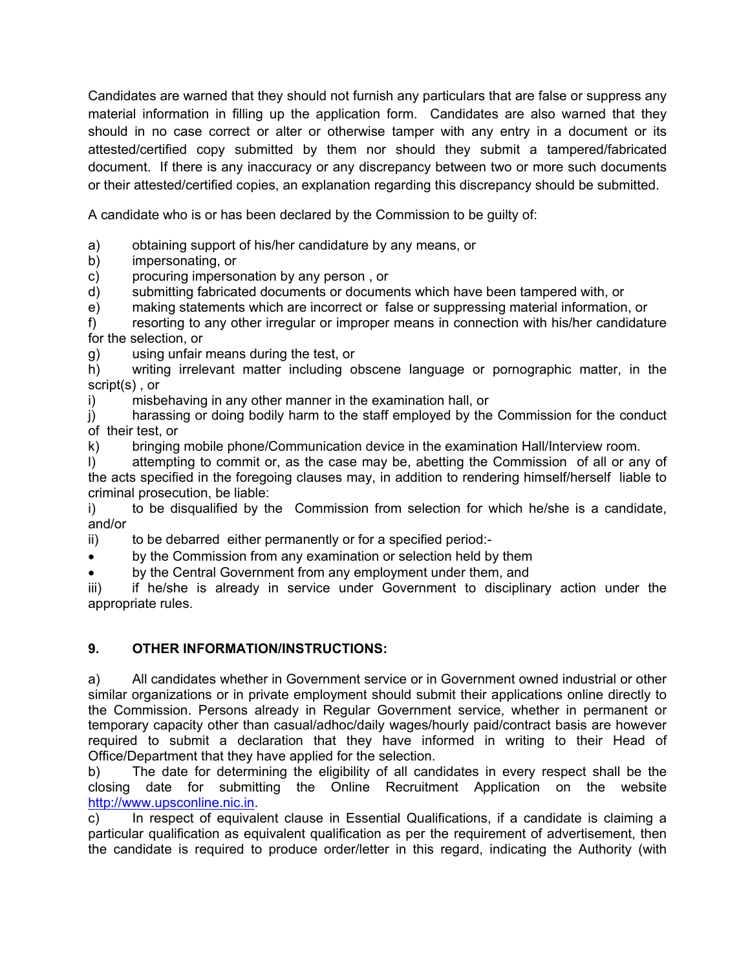Candidates are warned that they should not furnish any particulars that are false or suppress any material information in filling up the application form. Candidates are also warned that they should in no case correct or alter or otherwise tamper with any entry in a document or its attested/certified copy submitted by them nor should they submit a tampered/fabricated document. If there is any inaccuracy or any discrepancy between two or more such documents or their attested/certified copies, an explanation regarding this discrepancy should be submitted.

A candidate who is or has been declared by the Commission to be guilty of:

a) obtaining support of his/her candidature by any means, or

b) impersonating, or

c) procuring impersonation by any person , or

d) submitting fabricated documents or documents which have been tampered with, or

e) making statements which are incorrect or false or suppressing material information, or

f) resorting to any other irregular or improper means in connection with his/her candidature for the selection, or

g) using unfair means during the test, or

h) writing irrelevant matter including obscene language or pornographic matter, in the script(s) , or

i) misbehaving in any other manner in the examination hall, or

j) harassing or doing bodily harm to the staff employed by the Commission for the conduct of their test, or

k) bringing mobile phone/Communication device in the examination Hall/Interview room.

l) attempting to commit or, as the case may be, abetting the Commission of all or any of the acts specified in the foregoing clauses may, in addition to rendering himself/herself liable to criminal prosecution, be liable:

i) to be disqualified by the Commission from selection for which he/she is a candidate, and/or

ii) to be debarred either permanently or for a specified period:-

by the Commission from any examination or selection held by them

by the Central Government from any employment under them, and

iii) if he/she is already in service under Government to disciplinary action under the appropriate rules.

## **9. OTHER INFORMATION/INSTRUCTIONS:**

a) All candidates whether in Government service or in Government owned industrial or other similar organizations or in private employment should submit their applications online directly to the Commission. Persons already in Regular Government service, whether in permanent or temporary capacity other than casual/adhoc/daily wages/hourly paid/contract basis are however required to submit a declaration that they have informed in writing to their Head of Office/Department that they have applied for the selection.

b) The date for determining the eligibility of all candidates in every respect shall be the closing date for submitting the Online Recruitment Application on the website http://www.upsconline.nic.in.

c) In respect of equivalent clause in Essential Qualifications, if a candidate is claiming a particular qualification as equivalent qualification as per the requirement of advertisement, then the candidate is required to produce order/letter in this regard, indicating the Authority (with